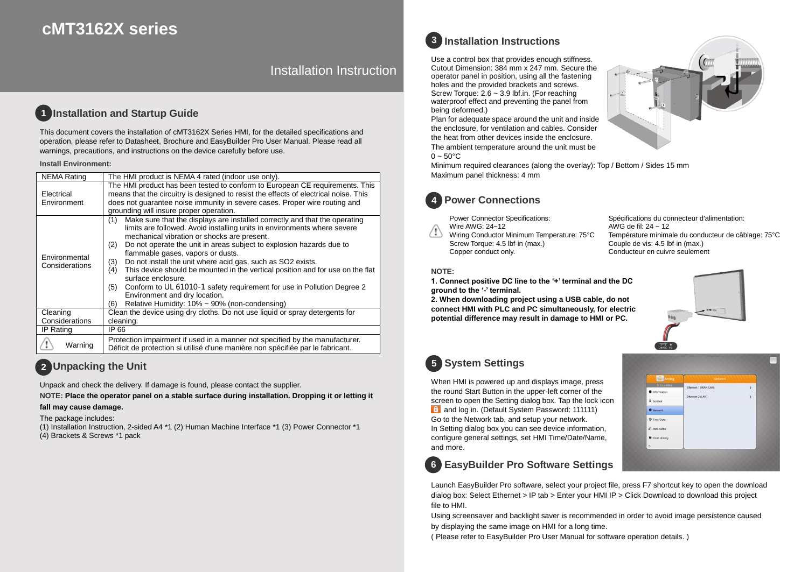# **cMT3162X series**

Installation Instruction

#### **Installation and Startup Guide 1**

This document covers the installation of cMT3162X Series HMI, for the detailed specifications and operation, please refer to Datasheet, Brochure and EasyBuilder Pro User Manual. Please read all warnings, precautions, and instructions on the device carefully before use.

#### **Install Environment:**

| <b>NEMA Rating</b>              | The HMI product is NEMA 4 rated (indoor use only).                                                                                                                                                                                                                                                                                                                                                                                                                                                                                                                                                                                                                                              |  |  |  |  |
|---------------------------------|-------------------------------------------------------------------------------------------------------------------------------------------------------------------------------------------------------------------------------------------------------------------------------------------------------------------------------------------------------------------------------------------------------------------------------------------------------------------------------------------------------------------------------------------------------------------------------------------------------------------------------------------------------------------------------------------------|--|--|--|--|
| Electrical<br>Environment       | The HMI product has been tested to conform to European CE requirements. This<br>means that the circuitry is designed to resist the effects of electrical noise. This<br>does not guarantee noise immunity in severe cases. Proper wire routing and<br>grounding will insure proper operation.                                                                                                                                                                                                                                                                                                                                                                                                   |  |  |  |  |
| Environmental<br>Considerations | Make sure that the displays are installed correctly and that the operating<br>(1)<br>limits are followed. Avoid installing units in environments where severe<br>mechanical vibration or shocks are present.<br>Do not operate the unit in areas subject to explosion hazards due to<br>(2)<br>flammable gases, vapors or dusts.<br>Do not install the unit where acid gas, such as SO2 exists.<br>(3)<br>This device should be mounted in the vertical position and for use on the flat<br>(4)<br>surface enclosure.<br>Conform to UL 61010-1 safety requirement for use in Pollution Degree 2<br>(5)<br>Environment and dry location.<br>Relative Humidity: 10% ~ 90% (non-condensing)<br>(6) |  |  |  |  |
| Cleaning                        | Clean the device using dry cloths. Do not use liquid or spray detergents for                                                                                                                                                                                                                                                                                                                                                                                                                                                                                                                                                                                                                    |  |  |  |  |
| Considerations                  | cleaning.                                                                                                                                                                                                                                                                                                                                                                                                                                                                                                                                                                                                                                                                                       |  |  |  |  |
| IP Rating                       | IP 66                                                                                                                                                                                                                                                                                                                                                                                                                                                                                                                                                                                                                                                                                           |  |  |  |  |
| Warning                         | Protection impairment if used in a manner not specified by the manufacturer.<br>Déficit de protection si utilisé d'une manière non spécifiée par le fabricant.                                                                                                                                                                                                                                                                                                                                                                                                                                                                                                                                  |  |  |  |  |

## **Unpacking the Unit 2**

Unpack and check the delivery. If damage is found, please contact the supplier.

**NOTE: Place the operator panel on a stable surface during installation. Dropping it or letting it** 

### **fall may cause damage.**

The package includes:

(1) Installation Instruction, 2-sided A4 \*1 (2) Human Machine Interface \*1 (3) Power Connector \*1 (4) Brackets & Screws \*1 pack

## **Installation Instructions 3**

Use a control box that provides enough stiffness. Cutout Dimension: 384 mm x 247 mm. Secure the operator panel in position, using all the fastening holes and the provided brackets and screws. Screw Torque: 2.6 ~ 3.9 lbf.in. (For reaching waterproof effect and preventing the panel from being deformed.)

Plan for adequate space around the unit and inside the enclosure, for ventilation and cables. Consider the heat from other devices inside the enclosure. The ambient temperature around the unit must be  $0 \sim 50^{\circ}$ C

Minimum required clearances (along the overlay): Top / Bottom / Sides 15 mm Maximum panel thickness: 4 mm



## **Power Connections**

Power Connector Specifications: Wire AWG: 24~12

Wiring Conductor Minimum Temperature: 75°C Screw Torque: 4.5 lbf-in (max.) Copper conduct only.

Spécifications du connecteur d'alimentation: AWG de fil: 24 ~ 12 Température minimale du conducteur de câblage: 75°C Couple de vis: 4.5 lbf-in (max.) Conducteur en cuivre seulement

### **NOTE:**

**1. Connect positive DC line to the '+' terminal and the DC ground to the '-' terminal.**

**2. When downloading project using a USB cable, do not connect HMI with PLC and PC simultaneously, for electric potential difference may result in damage to HMI or PC.**



Thet 1 (WAN/LAN

 $\rightarrow$  $\overline{ }$ 

**ISB** 

**II** General **D** Network **O** Time/Date 2 HMI Name Clear History

# **System Settings 5**

When HMI is powered up and displays image, press the round Start Button in the upper-left corner of the screen to open the Setting dialog box. Tap the lock icon **f** and log in. (Default System Password: 111111) Go to the Network tab, and setup your network. In Setting dialog box you can see device information, configure general settings, set HMI Time/Date/Name, and more.

# **EasyBuilder Pro Software Settings 6**

Launch EasyBuilder Pro software, select your project file, press F7 shortcut key to open the download dialog box: Select Ethernet > IP tab > Enter your HMI IP > Click Download to download this project file to HMI.

Using screensaver and backlight saver is recommended in order to avoid image persistence caused by displaying the same image on HMI for a long time.

( Please refer to EasyBuilder Pro User Manual for software operation details. )